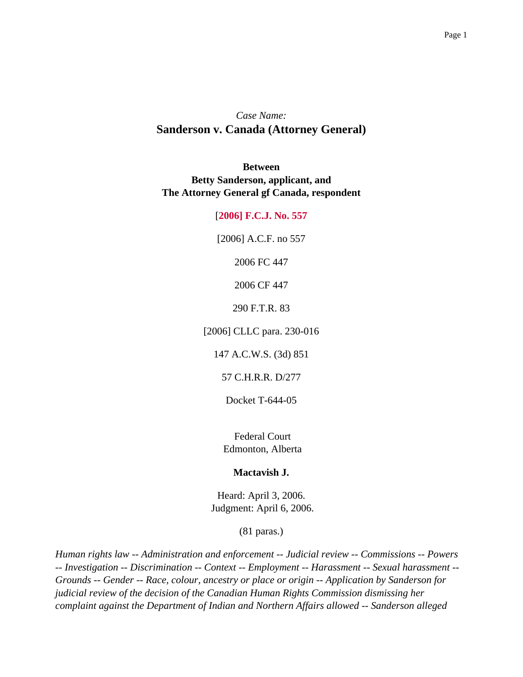# *Case Name:* **Sanderson v. Canada (Attorney General)**

## **Between Betty Sanderson, applicant, and The Attorney General gf Canada, respondent**

#### [**2006] F.C.J. No. 557**

[2006] A.C.F. no 557

2006 FC 447

2006 CF 447

290 F.T.R. 83

[2006] CLLC para. 230-016

147 A.C.W.S. (3d) 851

57 C.H.R.R. D/277

Docket T-644-05

Federal Court Edmonton, Alberta

#### **Mactavish J.**

Heard: April 3, 2006. Judgment: April 6, 2006.

(81 paras.)

*Human rights law -- Administration and enforcement -- Judicial review -- Commissions -- Powers -- Investigation -- Discrimination -- Context -- Employment -- Harassment -- Sexual harassment -- Grounds -- Gender -- Race, colour, ancestry or place or origin -- Application by Sanderson for judicial review of the decision of the Canadian Human Rights Commission dismissing her complaint against the Department of Indian and Northern Affairs allowed -- Sanderson alleged*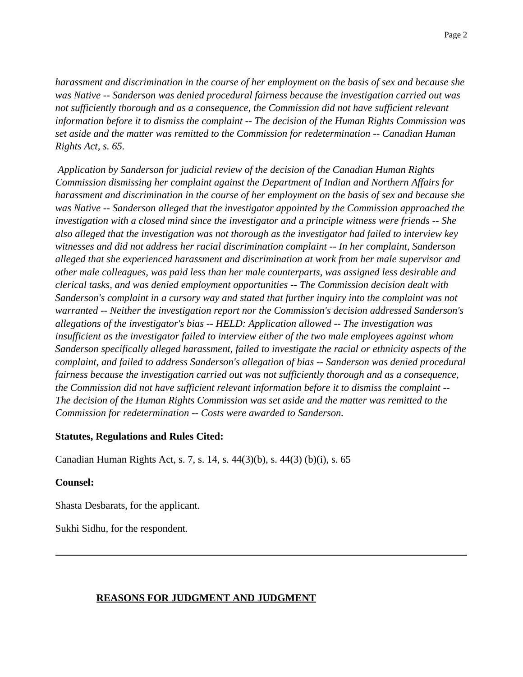*harassment and discrimination in the course of her employment on the basis of sex and because she was Native -- Sanderson was denied procedural fairness because the investigation carried out was not sufficiently thorough and as a consequence, the Commission did not have sufficient relevant information before it to dismiss the complaint -- The decision of the Human Rights Commission was set aside and the matter was remitted to the Commission for redetermination -- Canadian Human Rights Act, s. 65.*

*Application by Sanderson for judicial review of the decision of the Canadian Human Rights Commission dismissing her complaint against the Department of Indian and Northern Affairs for harassment and discrimination in the course of her employment on the basis of sex and because she was Native -- Sanderson alleged that the investigator appointed by the Commission approached the investigation with a closed mind since the investigator and a principle witness were friends -- She also alleged that the investigation was not thorough as the investigator had failed to interview key witnesses and did not address her racial discrimination complaint -- In her complaint, Sanderson alleged that she experienced harassment and discrimination at work from her male supervisor and other male colleagues, was paid less than her male counterparts, was assigned less desirable and clerical tasks, and was denied employment opportunities -- The Commission decision dealt with Sanderson's complaint in a cursory way and stated that further inquiry into the complaint was not warranted -- Neither the investigation report nor the Commission's decision addressed Sanderson's allegations of the investigator's bias -- HELD: Application allowed -- The investigation was insufficient as the investigator failed to interview either of the two male employees against whom Sanderson specifically alleged harassment, failed to investigate the racial or ethnicity aspects of the complaint, and failed to address Sanderson's allegation of bias -- Sanderson was denied procedural fairness because the investigation carried out was not sufficiently thorough and as a consequence, the Commission did not have sufficient relevant information before it to dismiss the complaint -- The decision of the Human Rights Commission was set aside and the matter was remitted to the Commission for redetermination -- Costs were awarded to Sanderson.*

#### **Statutes, Regulations and Rules Cited:**

Canadian Human Rights Act, s. 7, s. 14, s. 44(3)(b), s. 44(3) (b)(i), s. 65

#### **Counsel:**

Shasta Desbarats, for the applicant.

Sukhi Sidhu, for the respondent.

#### **REASONS FOR JUDGMENT AND JUDGMENT**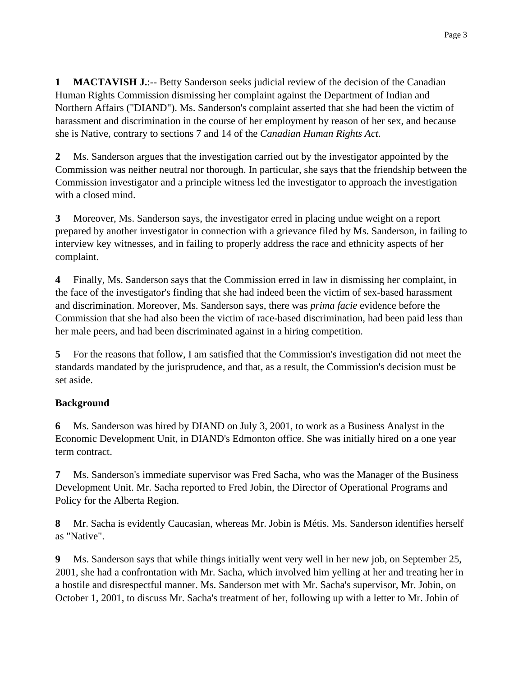**1 MACTAVISH J.:-- Betty Sanderson seeks judicial review of the decision of the Canadian** Human Rights Commission dismissing her complaint against the Department of Indian and Northern Affairs ("DIAND"). Ms. Sanderson's complaint asserted that she had been the victim of harassment and discrimination in the course of her employment by reason of her sex, and because she is Native, contrary to sections 7 and 14 of the *Canadian Human Rights Act*.

**2** Ms. Sanderson argues that the investigation carried out by the investigator appointed by the Commission was neither neutral nor thorough. In particular, she says that the friendship between the Commission investigator and a principle witness led the investigator to approach the investigation with a closed mind.

**3** Moreover, Ms. Sanderson says, the investigator erred in placing undue weight on a report prepared by another investigator in connection with a grievance filed by Ms. Sanderson, in failing to interview key witnesses, and in failing to properly address the race and ethnicity aspects of her complaint.

**4** Finally, Ms. Sanderson says that the Commission erred in law in dismissing her complaint, in the face of the investigator's finding that she had indeed been the victim of sex-based harassment and discrimination. Moreover, Ms. Sanderson says, there was *prima facie* evidence before the Commission that she had also been the victim of race-based discrimination, had been paid less than her male peers, and had been discriminated against in a hiring competition.

**5** For the reasons that follow, I am satisfied that the Commission's investigation did not meet the standards mandated by the jurisprudence, and that, as a result, the Commission's decision must be set aside.

## **Background**

**6** Ms. Sanderson was hired by DIAND on July 3, 2001, to work as a Business Analyst in the Economic Development Unit, in DIAND's Edmonton office. She was initially hired on a one year term contract.

**7** Ms. Sanderson's immediate supervisor was Fred Sacha, who was the Manager of the Business Development Unit. Mr. Sacha reported to Fred Jobin, the Director of Operational Programs and Policy for the Alberta Region.

**8** Mr. Sacha is evidently Caucasian, whereas Mr. Jobin is Métis. Ms. Sanderson identifies herself as "Native".

**9** Ms. Sanderson says that while things initially went very well in her new job, on September 25, 2001, she had a confrontation with Mr. Sacha, which involved him yelling at her and treating her in a hostile and disrespectful manner. Ms. Sanderson met with Mr. Sacha's supervisor, Mr. Jobin, on October 1, 2001, to discuss Mr. Sacha's treatment of her, following up with a letter to Mr. Jobin of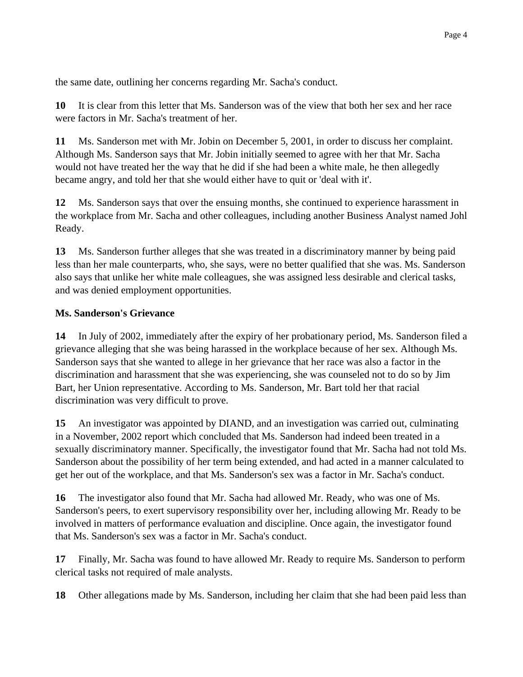the same date, outlining her concerns regarding Mr. Sacha's conduct.

**10** It is clear from this letter that Ms. Sanderson was of the view that both her sex and her race were factors in Mr. Sacha's treatment of her.

**11** Ms. Sanderson met with Mr. Jobin on December 5, 2001, in order to discuss her complaint. Although Ms. Sanderson says that Mr. Jobin initially seemed to agree with her that Mr. Sacha would not have treated her the way that he did if she had been a white male, he then allegedly became angry, and told her that she would either have to quit or 'deal with it'.

**12** Ms. Sanderson says that over the ensuing months, she continued to experience harassment in the workplace from Mr. Sacha and other colleagues, including another Business Analyst named Johl Ready.

**13** Ms. Sanderson further alleges that she was treated in a discriminatory manner by being paid less than her male counterparts, who, she says, were no better qualified that she was. Ms. Sanderson also says that unlike her white male colleagues, she was assigned less desirable and clerical tasks, and was denied employment opportunities.

### **Ms. Sanderson's Grievance**

**14** In July of 2002, immediately after the expiry of her probationary period, Ms. Sanderson filed a grievance alleging that she was being harassed in the workplace because of her sex. Although Ms. Sanderson says that she wanted to allege in her grievance that her race was also a factor in the discrimination and harassment that she was experiencing, she was counseled not to do so by Jim Bart, her Union representative. According to Ms. Sanderson, Mr. Bart told her that racial discrimination was very difficult to prove.

**15** An investigator was appointed by DIAND, and an investigation was carried out, culminating in a November, 2002 report which concluded that Ms. Sanderson had indeed been treated in a sexually discriminatory manner. Specifically, the investigator found that Mr. Sacha had not told Ms. Sanderson about the possibility of her term being extended, and had acted in a manner calculated to get her out of the workplace, and that Ms. Sanderson's sex was a factor in Mr. Sacha's conduct.

**16** The investigator also found that Mr. Sacha had allowed Mr. Ready, who was one of Ms. Sanderson's peers, to exert supervisory responsibility over her, including allowing Mr. Ready to be involved in matters of performance evaluation and discipline. Once again, the investigator found that Ms. Sanderson's sex was a factor in Mr. Sacha's conduct.

**17** Finally, Mr. Sacha was found to have allowed Mr. Ready to require Ms. Sanderson to perform clerical tasks not required of male analysts.

**18** Other allegations made by Ms. Sanderson, including her claim that she had been paid less than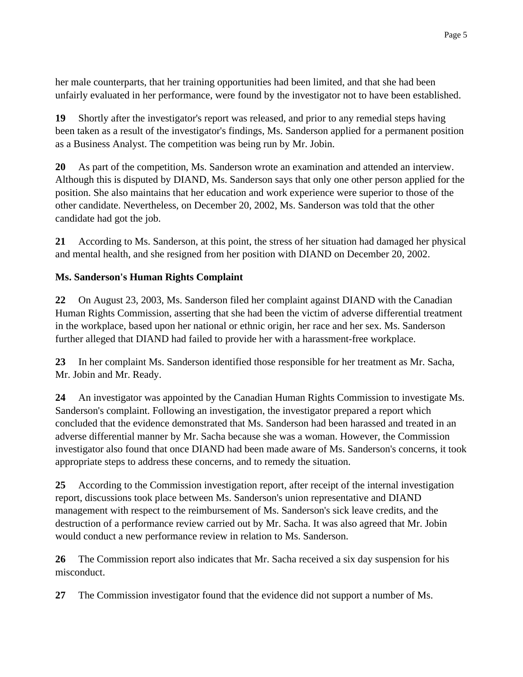her male counterparts, that her training opportunities had been limited, and that she had been unfairly evaluated in her performance, were found by the investigator not to have been established.

**19** Shortly after the investigator's report was released, and prior to any remedial steps having been taken as a result of the investigator's findings, Ms. Sanderson applied for a permanent position as a Business Analyst. The competition was being run by Mr. Jobin.

**20** As part of the competition, Ms. Sanderson wrote an examination and attended an interview. Although this is disputed by DIAND, Ms. Sanderson says that only one other person applied for the position. She also maintains that her education and work experience were superior to those of the other candidate. Nevertheless, on December 20, 2002, Ms. Sanderson was told that the other candidate had got the job.

**21** According to Ms. Sanderson, at this point, the stress of her situation had damaged her physical and mental health, and she resigned from her position with DIAND on December 20, 2002.

## **Ms. Sanderson's Human Rights Complaint**

**22** On August 23, 2003, Ms. Sanderson filed her complaint against DIAND with the Canadian Human Rights Commission, asserting that she had been the victim of adverse differential treatment in the workplace, based upon her national or ethnic origin, her race and her sex. Ms. Sanderson further alleged that DIAND had failed to provide her with a harassment-free workplace.

**23** In her complaint Ms. Sanderson identified those responsible for her treatment as Mr. Sacha, Mr. Jobin and Mr. Ready.

**24** An investigator was appointed by the Canadian Human Rights Commission to investigate Ms. Sanderson's complaint. Following an investigation, the investigator prepared a report which concluded that the evidence demonstrated that Ms. Sanderson had been harassed and treated in an adverse differential manner by Mr. Sacha because she was a woman. However, the Commission investigator also found that once DIAND had been made aware of Ms. Sanderson's concerns, it took appropriate steps to address these concerns, and to remedy the situation.

**25** According to the Commission investigation report, after receipt of the internal investigation report, discussions took place between Ms. Sanderson's union representative and DIAND management with respect to the reimbursement of Ms. Sanderson's sick leave credits, and the destruction of a performance review carried out by Mr. Sacha. It was also agreed that Mr. Jobin would conduct a new performance review in relation to Ms. Sanderson.

**26** The Commission report also indicates that Mr. Sacha received a six day suspension for his misconduct.

**27** The Commission investigator found that the evidence did not support a number of Ms.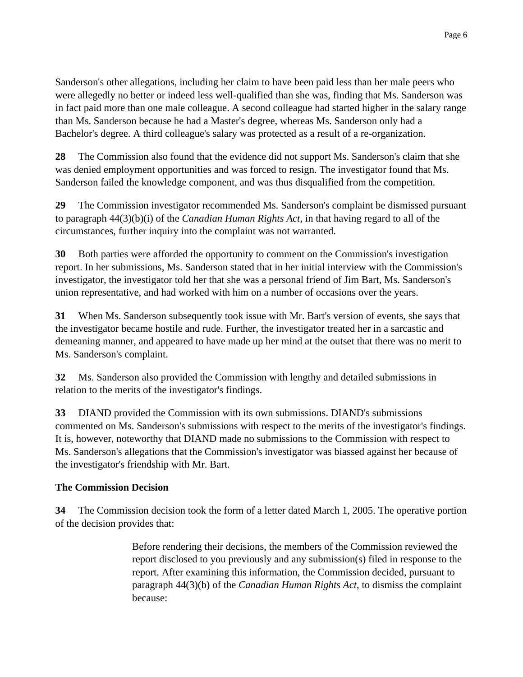Sanderson's other allegations, including her claim to have been paid less than her male peers who were allegedly no better or indeed less well-qualified than she was, finding that Ms. Sanderson was in fact paid more than one male colleague. A second colleague had started higher in the salary range than Ms. Sanderson because he had a Master's degree, whereas Ms. Sanderson only had a Bachelor's degree. A third colleague's salary was protected as a result of a re-organization.

**28** The Commission also found that the evidence did not support Ms. Sanderson's claim that she was denied employment opportunities and was forced to resign. The investigator found that Ms. Sanderson failed the knowledge component, and was thus disqualified from the competition.

**29** The Commission investigator recommended Ms. Sanderson's complaint be dismissed pursuant to paragraph 44(3)(b)(i) of the *Canadian Human Rights Act*, in that having regard to all of the circumstances, further inquiry into the complaint was not warranted.

**30** Both parties were afforded the opportunity to comment on the Commission's investigation report. In her submissions, Ms. Sanderson stated that in her initial interview with the Commission's investigator, the investigator told her that she was a personal friend of Jim Bart, Ms. Sanderson's union representative, and had worked with him on a number of occasions over the years.

**31** When Ms. Sanderson subsequently took issue with Mr. Bart's version of events, she says that the investigator became hostile and rude. Further, the investigator treated her in a sarcastic and demeaning manner, and appeared to have made up her mind at the outset that there was no merit to Ms. Sanderson's complaint.

**32** Ms. Sanderson also provided the Commission with lengthy and detailed submissions in relation to the merits of the investigator's findings.

**33** DIAND provided the Commission with its own submissions. DIAND's submissions commented on Ms. Sanderson's submissions with respect to the merits of the investigator's findings. It is, however, noteworthy that DIAND made no submissions to the Commission with respect to Ms. Sanderson's allegations that the Commission's investigator was biassed against her because of the investigator's friendship with Mr. Bart.

### **The Commission Decision**

**34** The Commission decision took the form of a letter dated March 1, 2005. The operative portion of the decision provides that:

> Before rendering their decisions, the members of the Commission reviewed the report disclosed to you previously and any submission(s) filed in response to the report. After examining this information, the Commission decided, pursuant to paragraph 44(3)(b) of the *Canadian Human Rights Act*, to dismiss the complaint because: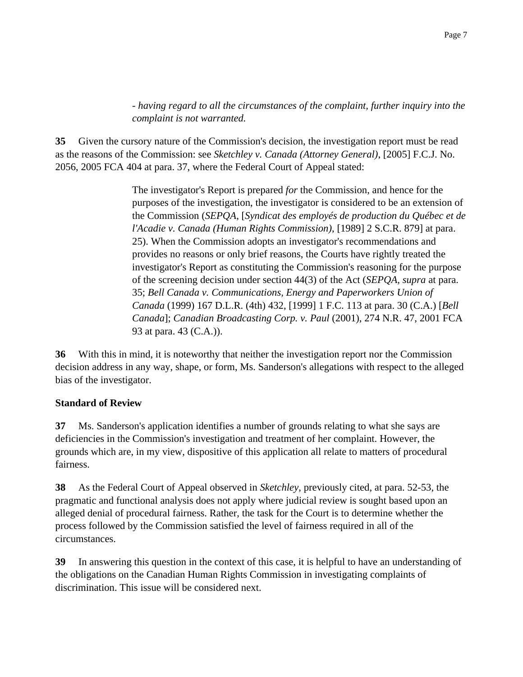*- having regard to all the circumstances of the complaint, further inquiry into the complaint is not warranted.*

**35** Given the cursory nature of the Commission's decision, the investigation report must be read as the reasons of the Commission: see *Sketchley v. Canada (Attorney General)*, [2005] F.C.J. No. 2056, 2005 FCA 404 at para. 37, where the Federal Court of Appeal stated:

> The investigator's Report is prepared *for* the Commission, and hence for the purposes of the investigation, the investigator is considered to be an extension of the Commission (*SEPQA*, [*Syndicat des employés de production du Québec et de l'Acadie v. Canada (Human Rights Commission)*, [1989] 2 S.C.R. 879] at para. 25). When the Commission adopts an investigator's recommendations and provides no reasons or only brief reasons, the Courts have rightly treated the investigator's Report as constituting the Commission's reasoning for the purpose of the screening decision under section 44(3) of the Act (*SEPQA, supra* at para. 35; *Bell Canada v. Communications, Energy and Paperworkers Union of Canada* (1999) 167 D.L.R. (4th) 432, [1999] 1 F.C. 113 at para. 30 (C.A.) [*Bell Canada*]; *Canadian Broadcasting Corp. v. Paul* (2001), 274 N.R. 47, 2001 FCA 93 at para. 43 (C.A.)).

**36** With this in mind, it is noteworthy that neither the investigation report nor the Commission decision address in any way, shape, or form, Ms. Sanderson's allegations with respect to the alleged bias of the investigator.

### **Standard of Review**

**37** Ms. Sanderson's application identifies a number of grounds relating to what she says are deficiencies in the Commission's investigation and treatment of her complaint. However, the grounds which are, in my view, dispositive of this application all relate to matters of procedural fairness.

**38** As the Federal Court of Appeal observed in *Sketchley*, previously cited, at para. 52-53, the pragmatic and functional analysis does not apply where judicial review is sought based upon an alleged denial of procedural fairness. Rather, the task for the Court is to determine whether the process followed by the Commission satisfied the level of fairness required in all of the circumstances.

**39** In answering this question in the context of this case, it is helpful to have an understanding of the obligations on the Canadian Human Rights Commission in investigating complaints of discrimination. This issue will be considered next.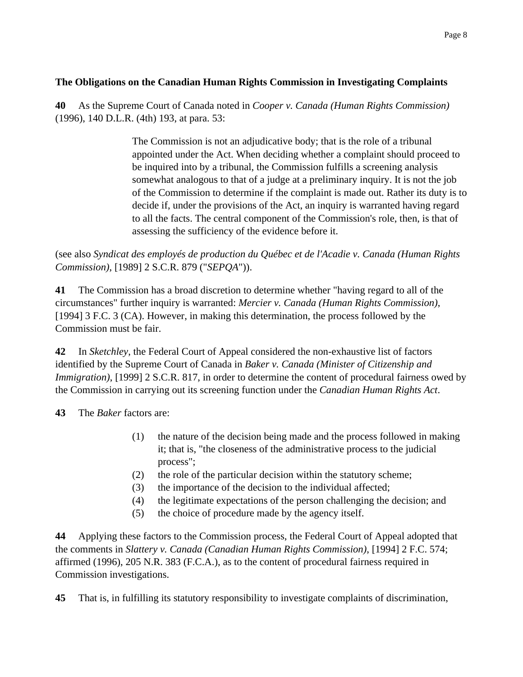### **The Obligations on the Canadian Human Rights Commission in Investigating Complaints**

**40** As the Supreme Court of Canada noted in *Cooper v. Canada (Human Rights Commission)* (1996), 140 D.L.R. (4th) 193, at para. 53:

> The Commission is not an adjudicative body; that is the role of a tribunal appointed under the Act. When deciding whether a complaint should proceed to be inquired into by a tribunal, the Commission fulfills a screening analysis somewhat analogous to that of a judge at a preliminary inquiry. It is not the job of the Commission to determine if the complaint is made out. Rather its duty is to decide if, under the provisions of the Act, an inquiry is warranted having regard to all the facts. The central component of the Commission's role, then, is that of assessing the sufficiency of the evidence before it.

(see also *Syndicat des employés de production du Québec et de l'Acadie v. Canada (Human Rights Commission)*, [1989] 2 S.C.R. 879 ("*SEPQA*")).

**41** The Commission has a broad discretion to determine whether "having regard to all of the circumstances" further inquiry is warranted: *Mercier v. Canada (Human Rights Commission)*, [1994] 3 F.C. 3 (CA). However, in making this determination, the process followed by the Commission must be fair.

**42** In *Sketchley*, the Federal Court of Appeal considered the non-exhaustive list of factors identified by the Supreme Court of Canada in *Baker v. Canada (Minister of Citizenship and Immigration*), [1999] 2 S.C.R. 817, in order to determine the content of procedural fairness owed by the Commission in carrying out its screening function under the *Canadian Human Rights Act*.

**43** The *Baker* factors are:

- (1) the nature of the decision being made and the process followed in making it; that is, "the closeness of the administrative process to the judicial process";
- (2) the role of the particular decision within the statutory scheme;
- (3) the importance of the decision to the individual affected;
- (4) the legitimate expectations of the person challenging the decision; and
- (5) the choice of procedure made by the agency itself.

**44** Applying these factors to the Commission process, the Federal Court of Appeal adopted that the comments in *Slattery v. Canada (Canadian Human Rights Commission)*, [1994] 2 F.C. 574; affirmed (1996), 205 N.R. 383 (F.C.A.), as to the content of procedural fairness required in Commission investigations.

**45** That is, in fulfilling its statutory responsibility to investigate complaints of discrimination,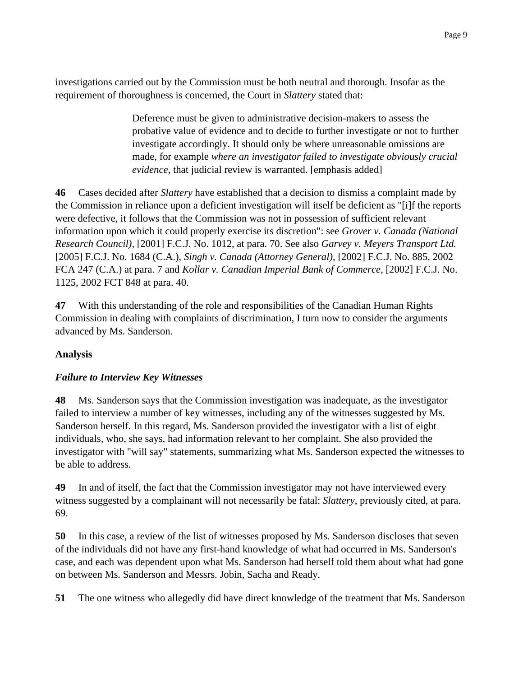investigations carried out by the Commission must be both neutral and thorough. Insofar as the requirement of thoroughness is concerned, the Court in *Slattery* stated that:

> Deference must be given to administrative decision-makers to assess the probative value of evidence and to decide to further investigate or not to further investigate accordingly. It should only be where unreasonable omissions are made, for example *where an investigator failed to investigate obviously crucial evidence*, that judicial review is warranted. [emphasis added]

**46** Cases decided after *Slattery* have established that a decision to dismiss a complaint made by the Commission in reliance upon a deficient investigation will itself be deficient as "[i]f the reports were defective, it follows that the Commission was not in possession of sufficient relevant information upon which it could properly exercise its discretion": see *Grover v. Canada (National Research Council)*, [2001] F.C.J. No. 1012, at para. 70. See also *Garvey v. Meyers Transport Ltd.* [2005] F.C.J. No. 1684 (C.A.), *Singh v. Canada (Attorney General)*, [2002] F.C.J. No. 885, 2002 FCA 247 (C.A.) at para. 7 and *Kollar v. Canadian Imperial Bank of Commerce*, [2002] F.C.J. No. 1125, 2002 FCT 848 at para. 40.

**47** With this understanding of the role and responsibilities of the Canadian Human Rights Commission in dealing with complaints of discrimination, I turn now to consider the arguments advanced by Ms. Sanderson.

### **Analysis**

### *Failure to Interview Key Witnesses*

**48** Ms. Sanderson says that the Commission investigation was inadequate, as the investigator failed to interview a number of key witnesses, including any of the witnesses suggested by Ms. Sanderson herself. In this regard, Ms. Sanderson provided the investigator with a list of eight individuals, who, she says, had information relevant to her complaint. She also provided the investigator with "will say" statements, summarizing what Ms. Sanderson expected the witnesses to be able to address.

**49** In and of itself, the fact that the Commission investigator may not have interviewed every witness suggested by a complainant will not necessarily be fatal: *Slattery*, previously cited, at para. 69.

**50** In this case, a review of the list of witnesses proposed by Ms. Sanderson discloses that seven of the individuals did not have any first-hand knowledge of what had occurred in Ms. Sanderson's case, and each was dependent upon what Ms. Sanderson had herself told them about what had gone on between Ms. Sanderson and Messrs. Jobin, Sacha and Ready.

**51** The one witness who allegedly did have direct knowledge of the treatment that Ms. Sanderson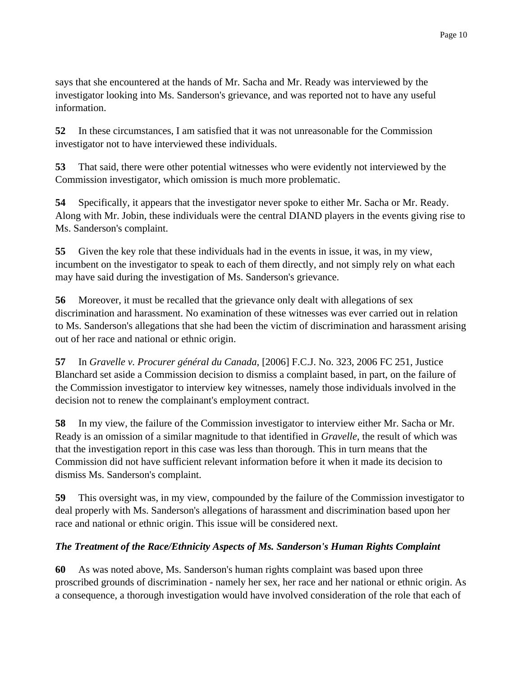says that she encountered at the hands of Mr. Sacha and Mr. Ready was interviewed by the investigator looking into Ms. Sanderson's grievance, and was reported not to have any useful information.

**52** In these circumstances, I am satisfied that it was not unreasonable for the Commission investigator not to have interviewed these individuals.

**53** That said, there were other potential witnesses who were evidently not interviewed by the Commission investigator, which omission is much more problematic.

**54** Specifically, it appears that the investigator never spoke to either Mr. Sacha or Mr. Ready. Along with Mr. Jobin, these individuals were the central DIAND players in the events giving rise to Ms. Sanderson's complaint.

**55** Given the key role that these individuals had in the events in issue, it was, in my view, incumbent on the investigator to speak to each of them directly, and not simply rely on what each may have said during the investigation of Ms. Sanderson's grievance.

**56** Moreover, it must be recalled that the grievance only dealt with allegations of sex discrimination and harassment. No examination of these witnesses was ever carried out in relation to Ms. Sanderson's allegations that she had been the victim of discrimination and harassment arising out of her race and national or ethnic origin.

**57** In *Gravelle v. Procurer général du Canada*, [2006] F.C.J. No. 323, 2006 FC 251, Justice Blanchard set aside a Commission decision to dismiss a complaint based, in part, on the failure of the Commission investigator to interview key witnesses, namely those individuals involved in the decision not to renew the complainant's employment contract.

**58** In my view, the failure of the Commission investigator to interview either Mr. Sacha or Mr. Ready is an omission of a similar magnitude to that identified in *Gravelle*, the result of which was that the investigation report in this case was less than thorough. This in turn means that the Commission did not have sufficient relevant information before it when it made its decision to dismiss Ms. Sanderson's complaint.

**59** This oversight was, in my view, compounded by the failure of the Commission investigator to deal properly with Ms. Sanderson's allegations of harassment and discrimination based upon her race and national or ethnic origin. This issue will be considered next.

## *The Treatment of the Race/Ethnicity Aspects of Ms. Sanderson's Human Rights Complaint*

**60** As was noted above, Ms. Sanderson's human rights complaint was based upon three proscribed grounds of discrimination - namely her sex, her race and her national or ethnic origin. As a consequence, a thorough investigation would have involved consideration of the role that each of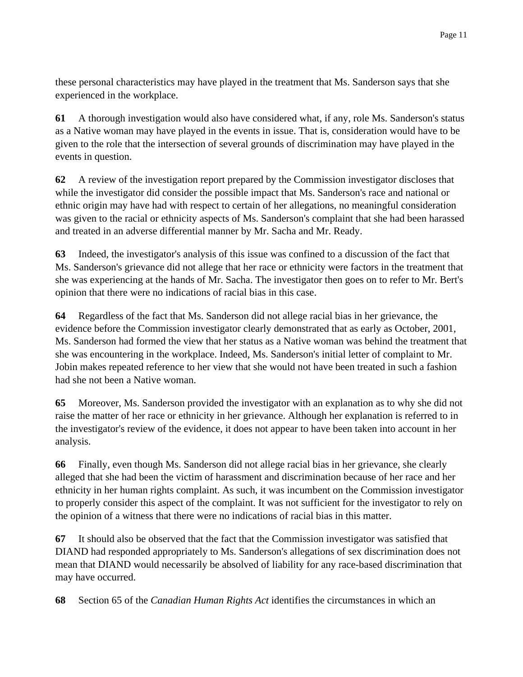these personal characteristics may have played in the treatment that Ms. Sanderson says that she experienced in the workplace.

**61** A thorough investigation would also have considered what, if any, role Ms. Sanderson's status as a Native woman may have played in the events in issue. That is, consideration would have to be given to the role that the intersection of several grounds of discrimination may have played in the events in question.

**62** A review of the investigation report prepared by the Commission investigator discloses that while the investigator did consider the possible impact that Ms. Sanderson's race and national or ethnic origin may have had with respect to certain of her allegations, no meaningful consideration was given to the racial or ethnicity aspects of Ms. Sanderson's complaint that she had been harassed and treated in an adverse differential manner by Mr. Sacha and Mr. Ready.

**63** Indeed, the investigator's analysis of this issue was confined to a discussion of the fact that Ms. Sanderson's grievance did not allege that her race or ethnicity were factors in the treatment that she was experiencing at the hands of Mr. Sacha. The investigator then goes on to refer to Mr. Bert's opinion that there were no indications of racial bias in this case.

**64** Regardless of the fact that Ms. Sanderson did not allege racial bias in her grievance, the evidence before the Commission investigator clearly demonstrated that as early as October, 2001, Ms. Sanderson had formed the view that her status as a Native woman was behind the treatment that she was encountering in the workplace. Indeed, Ms. Sanderson's initial letter of complaint to Mr. Jobin makes repeated reference to her view that she would not have been treated in such a fashion had she not been a Native woman.

**65** Moreover, Ms. Sanderson provided the investigator with an explanation as to why she did not raise the matter of her race or ethnicity in her grievance. Although her explanation is referred to in the investigator's review of the evidence, it does not appear to have been taken into account in her analysis.

**66** Finally, even though Ms. Sanderson did not allege racial bias in her grievance, she clearly alleged that she had been the victim of harassment and discrimination because of her race and her ethnicity in her human rights complaint. As such, it was incumbent on the Commission investigator to properly consider this aspect of the complaint. It was not sufficient for the investigator to rely on the opinion of a witness that there were no indications of racial bias in this matter.

**67** It should also be observed that the fact that the Commission investigator was satisfied that DIAND had responded appropriately to Ms. Sanderson's allegations of sex discrimination does not mean that DIAND would necessarily be absolved of liability for any race-based discrimination that may have occurred.

**68** Section 65 of the *Canadian Human Rights Act* identifies the circumstances in which an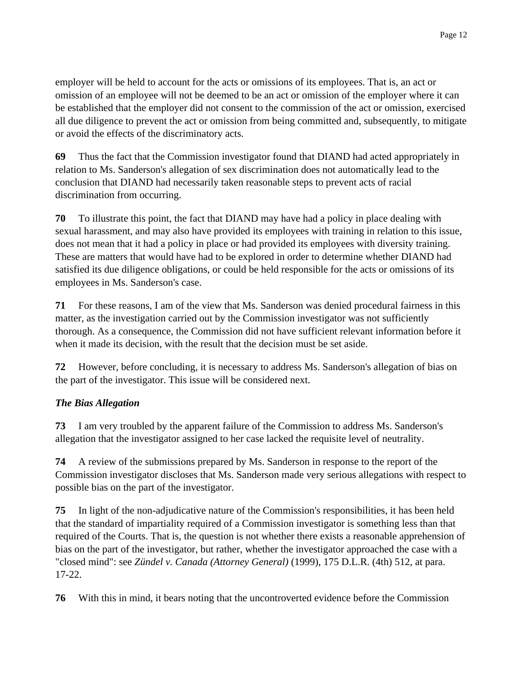employer will be held to account for the acts or omissions of its employees. That is, an act or omission of an employee will not be deemed to be an act or omission of the employer where it can be established that the employer did not consent to the commission of the act or omission, exercised all due diligence to prevent the act or omission from being committed and, subsequently, to mitigate or avoid the effects of the discriminatory acts.

**69** Thus the fact that the Commission investigator found that DIAND had acted appropriately in relation to Ms. Sanderson's allegation of sex discrimination does not automatically lead to the conclusion that DIAND had necessarily taken reasonable steps to prevent acts of racial discrimination from occurring.

**70** To illustrate this point, the fact that DIAND may have had a policy in place dealing with sexual harassment, and may also have provided its employees with training in relation to this issue, does not mean that it had a policy in place or had provided its employees with diversity training. These are matters that would have had to be explored in order to determine whether DIAND had satisfied its due diligence obligations, or could be held responsible for the acts or omissions of its employees in Ms. Sanderson's case.

**71** For these reasons, I am of the view that Ms. Sanderson was denied procedural fairness in this matter, as the investigation carried out by the Commission investigator was not sufficiently thorough. As a consequence, the Commission did not have sufficient relevant information before it when it made its decision, with the result that the decision must be set aside.

**72** However, before concluding, it is necessary to address Ms. Sanderson's allegation of bias on the part of the investigator. This issue will be considered next.

## *The Bias Allegation*

**73** I am very troubled by the apparent failure of the Commission to address Ms. Sanderson's allegation that the investigator assigned to her case lacked the requisite level of neutrality.

**74** A review of the submissions prepared by Ms. Sanderson in response to the report of the Commission investigator discloses that Ms. Sanderson made very serious allegations with respect to possible bias on the part of the investigator.

**75** In light of the non-adjudicative nature of the Commission's responsibilities, it has been held that the standard of impartiality required of a Commission investigator is something less than that required of the Courts. That is, the question is not whether there exists a reasonable apprehension of bias on the part of the investigator, but rather, whether the investigator approached the case with a "closed mind": see *Zündel v. Canada (Attorney General)* (1999), 175 D.L.R. (4th) 512, at para. 17-22.

**76** With this in mind, it bears noting that the uncontroverted evidence before the Commission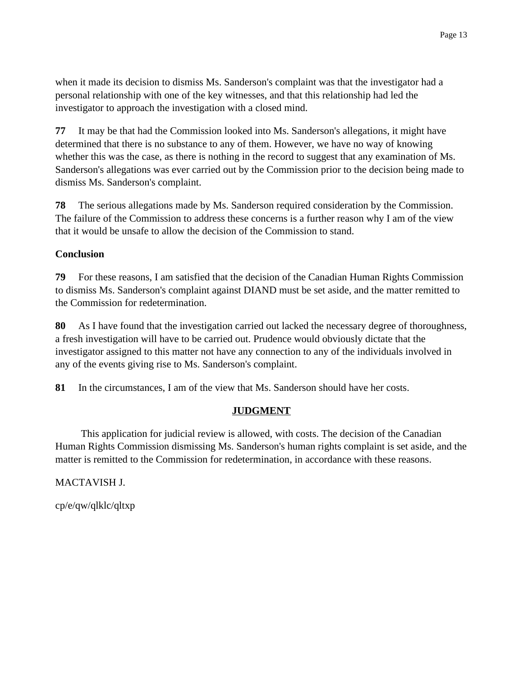when it made its decision to dismiss Ms. Sanderson's complaint was that the investigator had a personal relationship with one of the key witnesses, and that this relationship had led the investigator to approach the investigation with a closed mind.

**77** It may be that had the Commission looked into Ms. Sanderson's allegations, it might have determined that there is no substance to any of them. However, we have no way of knowing whether this was the case, as there is nothing in the record to suggest that any examination of Ms. Sanderson's allegations was ever carried out by the Commission prior to the decision being made to dismiss Ms. Sanderson's complaint.

**78** The serious allegations made by Ms. Sanderson required consideration by the Commission. The failure of the Commission to address these concerns is a further reason why I am of the view that it would be unsafe to allow the decision of the Commission to stand.

## **Conclusion**

**79** For these reasons, I am satisfied that the decision of the Canadian Human Rights Commission to dismiss Ms. Sanderson's complaint against DIAND must be set aside, and the matter remitted to the Commission for redetermination.

**80** As I have found that the investigation carried out lacked the necessary degree of thoroughness, a fresh investigation will have to be carried out. Prudence would obviously dictate that the investigator assigned to this matter not have any connection to any of the individuals involved in any of the events giving rise to Ms. Sanderson's complaint.

**81** In the circumstances, I am of the view that Ms. Sanderson should have her costs.

### **JUDGMENT**

This application for judicial review is allowed, with costs. The decision of the Canadian Human Rights Commission dismissing Ms. Sanderson's human rights complaint is set aside, and the matter is remitted to the Commission for redetermination, in accordance with these reasons.

MACTAVISH J.

cp/e/qw/qlklc/qltxp